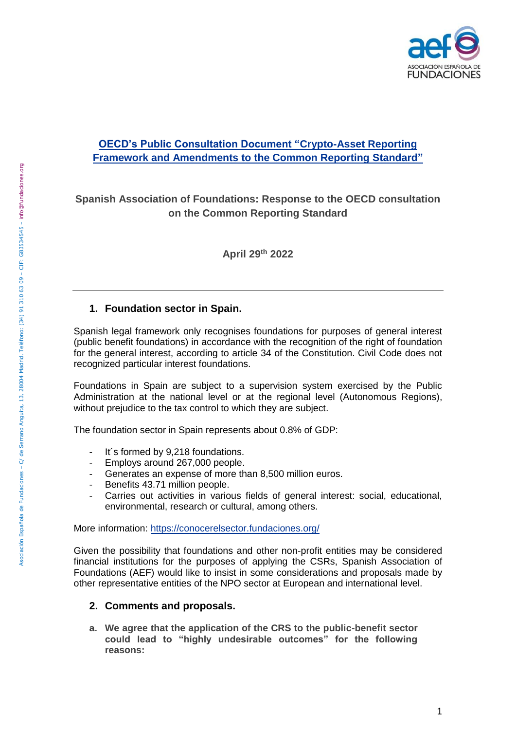

# **[OECD's Public Consultation Document "Crypto-Asset Reporting](https://www.oecd.org/tax/exchange-of-tax-information/public-consultation-document-crypto-asset-reporting-framework-and-amendments-to-the-common-reporting-standard.pdf)  [Framework and Amendments to the Common Reporting Standard"](https://www.oecd.org/tax/exchange-of-tax-information/public-consultation-document-crypto-asset-reporting-framework-and-amendments-to-the-common-reporting-standard.pdf)**

# **Spanish Association of Foundations: Response to the OECD consultation on the Common Reporting Standard**

**April 29th 2022**

# **1. Foundation sector in Spain.**

Spanish legal framework only recognises foundations for purposes of general interest (public benefit foundations) in accordance with the recognition of the right of foundation for the general interest, according to article 34 of the Constitution. Civil Code does not recognized particular interest foundations.

Foundations in Spain are subject to a supervision system exercised by the Public Administration at the national level or at the regional level (Autonomous Regions), without prejudice to the tax control to which they are subject.

The foundation sector in Spain represents about 0.8% of GDP:

- It's formed by 9,218 foundations.
- Employs around 267,000 people.
- Generates an expense of more than 8,500 million euros.
- Benefits 43.71 million people.
- Carries out activities in various fields of general interest: social, educational, environmental, research or cultural, among others.

More information:<https://conocerelsector.fundaciones.org/>

Given the possibility that foundations and other non-profit entities may be considered financial institutions for the purposes of applying the CSRs, Spanish Association of Foundations (AEF) would like to insist in some considerations and proposals made by other representative entities of the NPO sector at European and international level.

# **2. Comments and proposals.**

**a. We agree that the application of the CRS to the public-benefit sector could lead to "highly undesirable outcomes" for the following reasons:**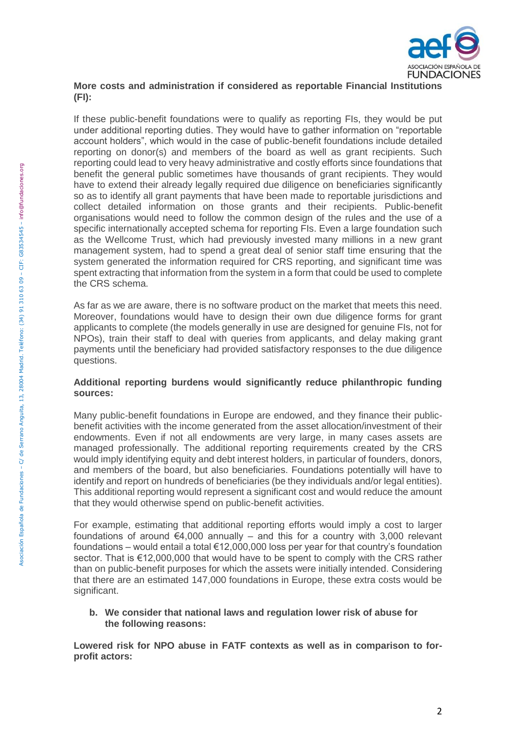

### **More costs and administration if considered as reportable Financial Institutions (FI):**

If these public-benefit foundations were to qualify as reporting FIs, they would be put under additional reporting duties. They would have to gather information on "reportable account holders", which would in the case of public-benefit foundations include detailed reporting on donor(s) and members of the board as well as grant recipients. Such reporting could lead to very heavy administrative and costly efforts since foundations that benefit the general public sometimes have thousands of grant recipients. They would have to extend their already legally required due diligence on beneficiaries significantly so as to identify all grant payments that have been made to reportable jurisdictions and collect detailed information on those grants and their recipients. Public-benefit organisations would need to follow the common design of the rules and the use of a specific internationally accepted schema for reporting FIs. Even a large foundation such as the Wellcome Trust, which had previously invested many millions in a new grant management system, had to spend a great deal of senior staff time ensuring that the system generated the information required for CRS reporting, and significant time was spent extracting that information from the system in a form that could be used to complete the CRS schema.

As far as we are aware, there is no software product on the market that meets this need. Moreover, foundations would have to design their own due diligence forms for grant applicants to complete (the models generally in use are designed for genuine FIs, not for NPOs), train their staff to deal with queries from applicants, and delay making grant payments until the beneficiary had provided satisfactory responses to the due diligence questions.

#### **Additional reporting burdens would significantly reduce philanthropic funding sources:**

Many public-benefit foundations in Europe are endowed, and they finance their publicbenefit activities with the income generated from the asset allocation/investment of their endowments. Even if not all endowments are very large, in many cases assets are managed professionally. The additional reporting requirements created by the CRS would imply identifying equity and debt interest holders, in particular of founders, donors, and members of the board, but also beneficiaries. Foundations potentially will have to identify and report on hundreds of beneficiaries (be they individuals and/or legal entities). This additional reporting would represent a significant cost and would reduce the amount that they would otherwise spend on public-benefit activities.

For example, estimating that additional reporting efforts would imply a cost to larger foundations of around  $\epsilon$ 4,000 annually – and this for a country with 3,000 relevant foundations – would entail a total  $€12,000,000$  loss per year for that country's foundation sector. That is €12,000,000 that would have to be spent to comply with the CRS rather than on public-benefit purposes for which the assets were initially intended. Considering that there are an estimated 147,000 foundations in Europe, these extra costs would be significant.

**b. We consider that national laws and regulation lower risk of abuse for the following reasons:** 

**Lowered risk for NPO abuse in FATF contexts as well as in comparison to forprofit actors:**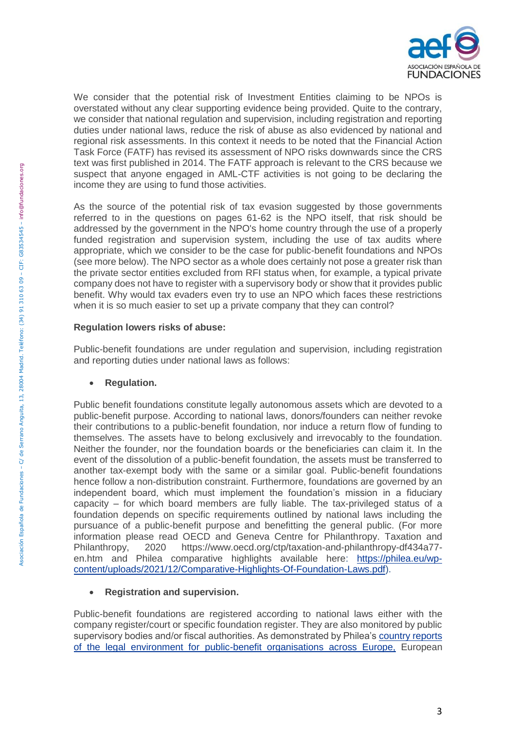

We consider that the potential risk of Investment Entities claiming to be NPOs is overstated without any clear supporting evidence being provided. Quite to the contrary, we consider that national regulation and supervision, including registration and reporting duties under national laws, reduce the risk of abuse as also evidenced by national and regional risk assessments. In this context it needs to be noted that the Financial Action Task Force (FATF) has revised its assessment of NPO risks downwards since the CRS text was first published in 2014. The FATF approach is relevant to the CRS because we suspect that anyone engaged in AML-CTF activities is not going to be declaring the income they are using to fund those activities.

As the source of the potential risk of tax evasion suggested by those governments referred to in the questions on pages 61-62 is the NPO itself, that risk should be addressed by the government in the NPO's home country through the use of a properly funded registration and supervision system, including the use of tax audits where appropriate, which we consider to be the case for public-benefit foundations and NPOs (see more below). The NPO sector as a whole does certainly not pose a greater risk than the private sector entities excluded from RFI status when, for example, a typical private company does not have to register with a supervisory body or show that it provides public benefit. Why would tax evaders even try to use an NPO which faces these restrictions when it is so much easier to set up a private company that they can control?

## **Regulation lowers risks of abuse:**

Public-benefit foundations are under regulation and supervision, including registration and reporting duties under national laws as follows:

## **Regulation.**

Public benefit foundations constitute legally autonomous assets which are devoted to a public-benefit purpose. According to national laws, donors/founders can neither revoke their contributions to a public-benefit foundation, nor induce a return flow of funding to themselves. The assets have to belong exclusively and irrevocably to the foundation. Neither the founder, nor the foundation boards or the beneficiaries can claim it. In the event of the dissolution of a public-benefit foundation, the assets must be transferred to another tax-exempt body with the same or a similar goal. Public-benefit foundations hence follow a non-distribution constraint. Furthermore, foundations are governed by an independent board, which must implement the foundation's mission in a fiduciary capacity – for which board members are fully liable. The tax-privileged status of a foundation depends on specific requirements outlined by national laws including the pursuance of a public-benefit purpose and benefitting the general public. (For more information please read OECD and Geneva Centre for Philanthropy. Taxation and Philanthropy, 2020 [https://www.oecd.org/ctp/taxation-and-philanthropy-df434a77](about:blank) [en.htm](about:blank) and Philea comparative highlights available here: [https://philea.eu/wp](https://philea.eu/wp-content/uploads/2021/12/Comparative-Highlights-Of-Foundation-Laws.pdf)[content/uploads/2021/12/Comparative-Highlights-Of-Foundation-Laws.pdf\)](https://philea.eu/wp-content/uploads/2021/12/Comparative-Highlights-Of-Foundation-Laws.pdf).

# **Registration and supervision.**

Public-benefit foundations are registered according to national laws either with the company register/court or specific foundation register. They are also monitored by public supervisory bodies and/or fiscal authorities. As demonstrated by Philea's [country reports](https://philea.eu/philanthropy-in-europe/enabling-environment/monitoring-and-legal-analysis/)  [of the legal environment for public-benefit organisations across Europe,](https://philea.eu/philanthropy-in-europe/enabling-environment/monitoring-and-legal-analysis/) European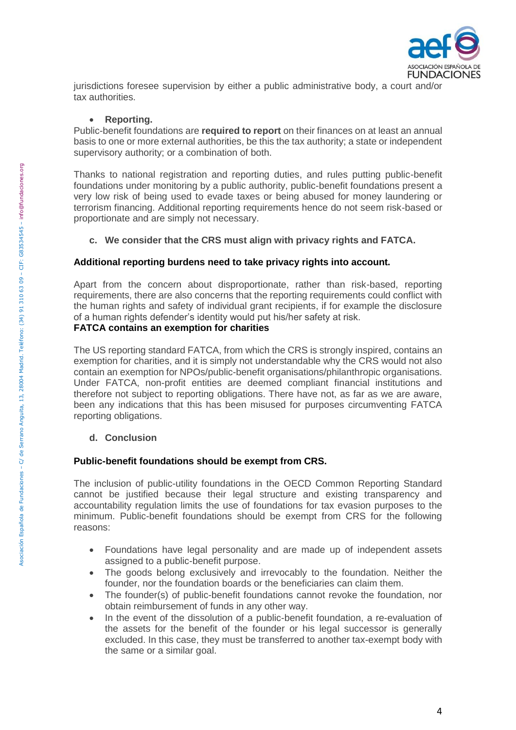

jurisdictions foresee supervision by either a public administrative body, a court and/or tax authorities.

#### **Reporting.**

Public-benefit foundations are **required to report** on their finances on at least an annual basis to one or more external authorities, be this the tax authority; a state or independent supervisory authority; or a combination of both.

Thanks to national registration and reporting duties, and rules putting public-benefit foundations under monitoring by a public authority, public-benefit foundations present a very low risk of being used to evade taxes or being abused for money laundering or terrorism financing. Additional reporting requirements hence do not seem risk-based or proportionate and are simply not necessary.

#### **c. We consider that the CRS must align with privacy rights and FATCA.**

#### **Additional reporting burdens need to take privacy rights into account.**

Apart from the concern about disproportionate, rather than risk-based, reporting requirements, there are also concerns that the reporting requirements could conflict with the human rights and safety of individual grant recipients, if for example the disclosure of a human rights defender's identity would put his/her safety at risk.

### **FATCA contains an exemption for charities**

The US reporting standard FATCA, from which the CRS is strongly inspired, contains an exemption for charities, and it is simply not understandable why the CRS would not also contain an exemption for NPOs/public-benefit organisations/philanthropic organisations. Under FATCA, non-profit entities are deemed compliant financial institutions and therefore not subject to reporting obligations. There have not, as far as we are aware, been any indications that this has been misused for purposes circumventing FATCA reporting obligations.

#### **d. Conclusion**

#### **Public-benefit foundations should be exempt from CRS.**

The inclusion of public-utility foundations in the OECD Common Reporting Standard cannot be justified because their legal structure and existing transparency and accountability regulation limits the use of foundations for tax evasion purposes to the minimum. Public-benefit foundations should be exempt from CRS for the following reasons:

- Foundations have legal personality and are made up of independent assets assigned to a public-benefit purpose.
- The goods belong exclusively and irrevocably to the foundation. Neither the founder, nor the foundation boards or the beneficiaries can claim them.
- The founder(s) of public-benefit foundations cannot revoke the foundation, nor obtain reimbursement of funds in any other way.
- In the event of the dissolution of a public-benefit foundation, a re-evaluation of the assets for the benefit of the founder or his legal successor is generally excluded. In this case, they must be transferred to another tax-exempt body with the same or a similar goal.